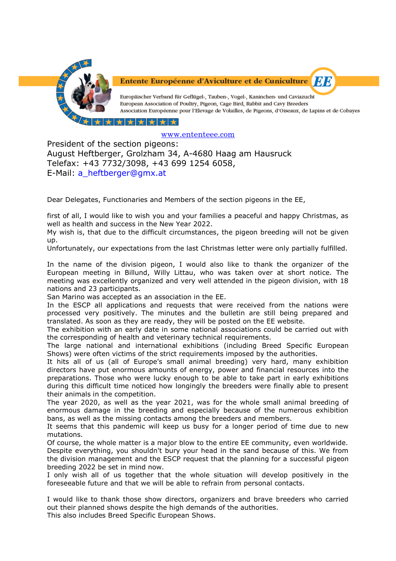

Entente Européenne d'Aviculture et de Cuniculture

Europäischer Verband für Geflügel-, Tauben-, Vogel-, Kaninchen- und Caviazucht European Association of Poultry, Pigeon, Cage Bird, Rabbit and Cavy Breeders Association Européenne pour l'Elevage de Volailles, de Pigeons, d'Oiseaux, de Lapins et de Cobayes

*EE* 

\*\*\*\*\*

## [www.ententeee.com](http://www.ententeee.com/)

President of the section pigeons: August Heftberger, Grolzham 34, A-4680 Haag am Hausruck Telefax: +43 7732/3098, +43 699 1254 6058, E-Mail: [a\\_heftberger@gmx.at](mailto:a_heftberger@gmx.at)

Dear Delegates, Functionaries and Members of the section pigeons in the EE,

first of all, I would like to wish you and your families a peaceful and happy Christmas, as well as health and success in the New Year 2022.

My wish is, that due to the difficult circumstances, the pigeon breeding will not be given up.

Unfortunately, our expectations from the last Christmas letter were only partially fulfilled.

In the name of the division pigeon, I would also like to thank the organizer of the European meeting in Billund, Willy Littau, who was taken over at short notice. The meeting was excellently organized and very well attended in the pigeon division, with 18 nations and 23 participants.

San Marino was accepted as an association in the EE.

In the ESCP all applications and requests that were received from the nations were processed very positively. The minutes and the bulletin are still being prepared and translated. As soon as they are ready, they will be posted on the EE website.

The exhibition with an early date in some national associations could be carried out with the corresponding of health and veterinary technical requirements.

The large national and international exhibitions (including Breed Specific European Shows) were often victims of the strict requirements imposed by the authorities.

It hits all of us (all of Europe's small animal breeding) very hard, many exhibition directors have put enormous amounts of energy, power and financial resources into the preparations. Those who were lucky enough to be able to take part in early exhibitions during this difficult time noticed how longingly the breeders were finally able to present their animals in the competition.

The year 2020, as well as the year 2021, was for the whole small animal breeding of enormous damage in the breeding and especially because of the numerous exhibition bans, as well as the missing contacts among the breeders and members.

It seems that this pandemic will keep us busy for a longer period of time due to new mutations.

Of course, the whole matter is a major blow to the entire EE community, even worldwide. Despite everything, you shouldn't bury your head in the sand because of this. We from the division management and the ESCP request that the planning for a successful pigeon breeding 2022 be set in mind now.

I only wish all of us together that the whole situation will develop positively in the foreseeable future and that we will be able to refrain from personal contacts.

I would like to thank those show directors, organizers and brave breeders who carried out their planned shows despite the high demands of the authorities.

This also includes Breed Specific European Shows.